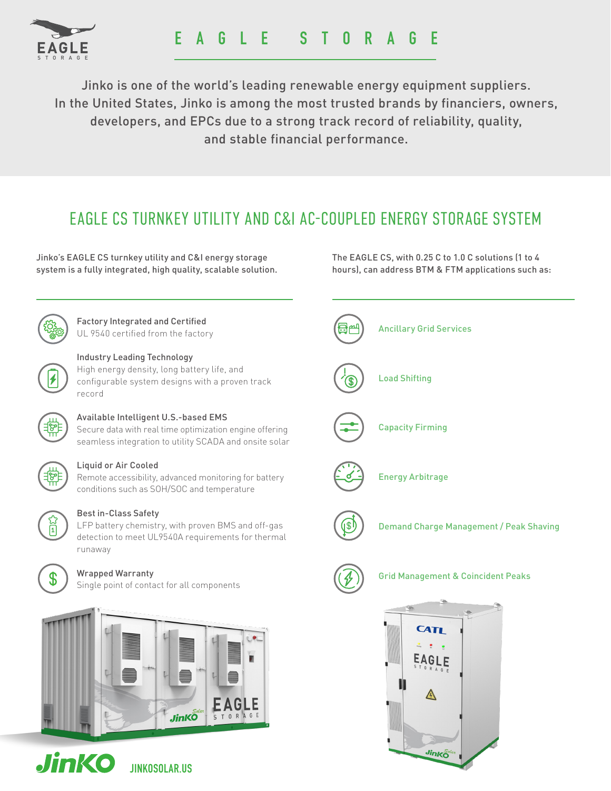

Jinko is one of the world's leading renewable energy equipment suppliers. In the United States, Jinko is among the most trusted brands by financiers, owners, developers, and EPCs due to a strong track record of reliability, quality, and stable financial performance.

## EAGLE CS TURNKEY UTILITY AND C&I AC-COUPLED ENERGY STORAGE SYSTEM

Jinko's EAGLE CS turnkey utility and C&I energy storage system is a fully integrated, high quality, scalable solution.

Factory Integrated and Certified UL 9540 certified from the factory



### Industry Leading Technology

High energy density, long battery life, and configurable system designs with a proven track record



### Available Intelligent U.S.-based EMS

Secure data with real time optimization engine offering seamless integration to utility SCADA and onsite solar



#### Liquid or Air Cooled

Remote accessibility, advanced monitoring for battery conditions such as SOH/SOC and temperature



#### Best in-Class Safety

LFP battery chemistry, with proven BMS and off-gas detection to meet UL9540A requirements for thermal runaway



### Wrapped Warranty

Single point of contact for all components





JINKOSOLAR.US

The EAGLE CS, with 0.25 C to 1.0 C solutions (1 to 4 hours), can address BTM & FTM applications such as: